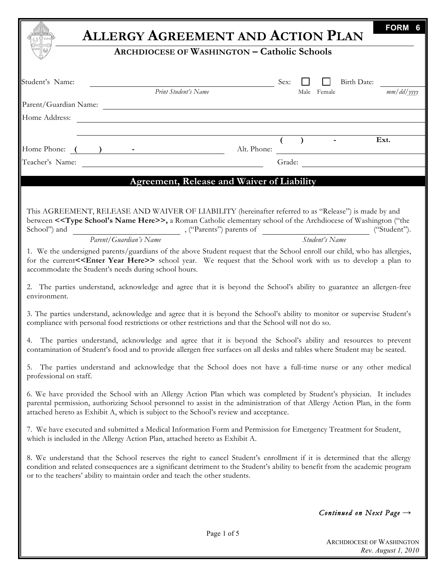|                                                                                                                                                                                                                                                                                                                                           | FORM 6<br><b>ALLERGY AGREEMENT AND ACTION PLAN</b>                                                          |
|-------------------------------------------------------------------------------------------------------------------------------------------------------------------------------------------------------------------------------------------------------------------------------------------------------------------------------------------|-------------------------------------------------------------------------------------------------------------|
|                                                                                                                                                                                                                                                                                                                                           | <b>ARCHDIOCESE OF WASHINGTON - Catholic Schools</b>                                                         |
| Student's Name:<br>Print Student's Name                                                                                                                                                                                                                                                                                                   | Sex:<br>Birth Date:<br>$mm/dd/$ yyyy<br>Male Female                                                         |
|                                                                                                                                                                                                                                                                                                                                           |                                                                                                             |
| Home Address:<br><u> 1989 - Johann Stoff, deutscher Stoffen und der Stoffen und der Stoffen und der Stoffen und der Stoffen und der</u>                                                                                                                                                                                                   |                                                                                                             |
| Home Phone: ( ) - Ext.                                                                                                                                                                                                                                                                                                                    |                                                                                                             |
| <u> 1980 - Johann Barn, mars ann an t-Amhain Aonaich an t-Aonaich an t-Aonaich ann an t-Aonaich ann an t-Aonaich</u><br>Teacher's Name:                                                                                                                                                                                                   |                                                                                                             |
|                                                                                                                                                                                                                                                                                                                                           | <b>Agreement, Release and Waiver of Liability</b>                                                           |
| This AGREEMENT, RELEASE AND WAIVER OF LIABILITY (hereinafter referred to as "Release") is made by and<br>between < <type here="" name="" school's="">&gt;, a Roman Catholic elementary school of the Archdiocese of Washington ("the</type>                                                                                               | ("Student").                                                                                                |
| Parent/Guardian's Name                                                                                                                                                                                                                                                                                                                    | Student's Name                                                                                              |
| 1. We the undersigned parents/guardians of the above Student request that the School enroll our child, who has allergies,<br>for the current< <enter here="" year="">&gt; school year. We request that the School work with us to develop a plan to<br/>accommodate the Student's needs during school hours.</enter>                      |                                                                                                             |
| 2. The parties understand, acknowledge and agree that it is beyond the School's ability to guarantee an allergen-free<br>environment.                                                                                                                                                                                                     |                                                                                                             |
| 3. The parties understand, acknowledge and agree that it is beyond the School's ability to monitor or supervise Student's<br>compliance with personal food restrictions or other restrictions and that the School will not do so.                                                                                                         |                                                                                                             |
| 4. The parties understand, acknowledge and agree that it is beyond the School's ability and resources to prevent<br>contamination of Student's food and to provide allergen free surfaces on all desks and tables where Student may be seated.                                                                                            |                                                                                                             |
| 5.<br>professional on staff.                                                                                                                                                                                                                                                                                                              | The parties understand and acknowledge that the School does not have a full-time nurse or any other medical |
| 6. We have provided the School with an Allergy Action Plan which was completed by Student's physician. It includes<br>parental permission, authorizing School personnel to assist in the administration of that Allergy Action Plan, in the form<br>attached hereto as Exhibit A, which is subject to the School's review and acceptance. |                                                                                                             |
| 7. We have executed and submitted a Medical Information Form and Permission for Emergency Treatment for Student,<br>which is included in the Allergy Action Plan, attached hereto as Exhibit A.                                                                                                                                           |                                                                                                             |
| 8. We understand that the School reserves the right to cancel Student's enrollment if it is determined that the allergy<br>condition and related consequences are a significant detriment to the Student's ability to benefit from the academic program<br>or to the teachers' ability to maintain order and teach the other students.    |                                                                                                             |
|                                                                                                                                                                                                                                                                                                                                           | Continued on Next Page $\rightarrow$                                                                        |
|                                                                                                                                                                                                                                                                                                                                           | Page 1 of 5                                                                                                 |

ARCHDIOCESE OF WASHINGTON *Rev. August 1, 2010*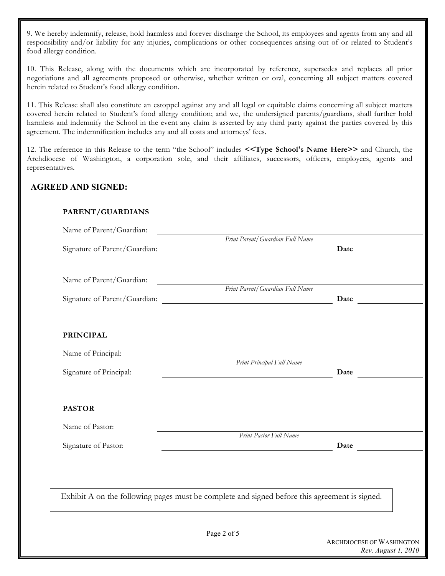9. We hereby indemnify, release, hold harmless and forever discharge the School, its employees and agents from any and all responsibility and/or liability for any injuries, complications or other consequences arising out of or related to Student's food allergy condition.

10. This Release, along with the documents which are incorporated by reference, supersedes and replaces all prior negotiations and all agreements proposed or otherwise, whether written or oral, concerning all subject matters covered herein related to Student's food allergy condition.

11. This Release shall also constitute an estoppel against any and all legal or equitable claims concerning all subject matters covered herein related to Student's food allergy condition; and we, the undersigned parents/guardians, shall further hold harmless and indemnify the School in the event any claim is asserted by any third party against the parties covered by this agreement. The indemnification includes any and all costs and attorneys' fees.

12. The reference in this Release to the term "the School" includes **<<Type School's Name Here>>** and Church, the Archdiocese of Washington, a corporation sole, and their affiliates, successors, officers, employees, agents and representatives.

## **AGREED AND SIGNED:**

| Name of Parent/Guardian: | Print Parent/Guardian Full Name                                                                                                                                                                                               |
|--------------------------|-------------------------------------------------------------------------------------------------------------------------------------------------------------------------------------------------------------------------------|
|                          | Date and the same state of the state of the state of the state of the state of the state of the state of the state of the state of the state of the state of the state of the state of the state of the state of the state of |
| Name of Parent/Guardian: |                                                                                                                                                                                                                               |
|                          | Print Parent/Guardian Full Name                                                                                                                                                                                               |
| <b>PRINCIPAL</b>         |                                                                                                                                                                                                                               |
| Name of Principal:       |                                                                                                                                                                                                                               |
| Signature of Principal:  | Print Principal Full Name<br><u> 1989 - Johann Barn, mars eta bainar eta baina eta baina eta baina eta baina eta baina eta baina eta baina e</u>                                                                              |
| <b>PASTOR</b>            |                                                                                                                                                                                                                               |
| Name of Pastor:          |                                                                                                                                                                                                                               |
| Signature of Pastor:     | Print Pastor Full Name<br><u> 1989 - Johann Stoff, fransk politik (d. 1989)</u>                                                                                                                                               |
|                          |                                                                                                                                                                                                                               |
|                          | Exhibit A on the following pages must be complete and signed before this agreement is signed.                                                                                                                                 |
|                          |                                                                                                                                                                                                                               |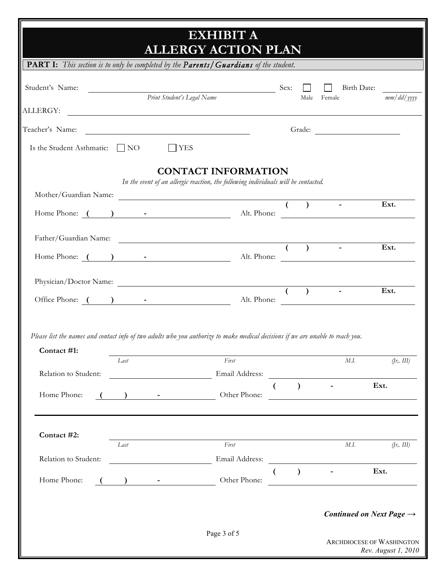|                                                                                                                                                                                                                                                            |      |                                                            | <b>EXHIBIT A</b><br><b>ALLERGY ACTION PLAN</b>                                                                        |                  |                   |                                                                                                                      |                                                         |
|------------------------------------------------------------------------------------------------------------------------------------------------------------------------------------------------------------------------------------------------------------|------|------------------------------------------------------------|-----------------------------------------------------------------------------------------------------------------------|------------------|-------------------|----------------------------------------------------------------------------------------------------------------------|---------------------------------------------------------|
| <b>PART I:</b> This section is to only be completed by the Parents / Guardians of the student.                                                                                                                                                             |      |                                                            |                                                                                                                       |                  |                   |                                                                                                                      |                                                         |
| Student's Name:<br>ALLERGY:                                                                                                                                                                                                                                |      |                                                            | Sex:<br>Print Student's Legal Name                                                                                    |                  |                   | Birth Date:<br>Male Female                                                                                           | $mm/dd/$ yyyy                                           |
|                                                                                                                                                                                                                                                            |      |                                                            | <u> 1989 - Johann Harry Harry Harry Harry Harry Harry Harry Harry Harry Harry Harry Harry Harry Harry Harry Harry</u> |                  |                   |                                                                                                                      |                                                         |
| Teacher's Name:                                                                                                                                                                                                                                            |      |                                                            | <u> 1980 - Johann Barnett, fransk politik (d. 1980)</u>                                                               |                  |                   |                                                                                                                      |                                                         |
| Is the Student Asthmatic: $\Box$ NO                                                                                                                                                                                                                        |      | <b>YES</b>                                                 |                                                                                                                       |                  |                   |                                                                                                                      |                                                         |
|                                                                                                                                                                                                                                                            |      |                                                            | <b>CONTACT INFORMATION</b><br>In the event of an allergic reaction, the following individuals will be contacted.      |                  |                   |                                                                                                                      |                                                         |
| Mother/Guardian Name:                                                                                                                                                                                                                                      |      |                                                            |                                                                                                                       |                  |                   |                                                                                                                      |                                                         |
| Home Phone: ( ) - The Phone: Alt. Phone: Alt. Phone: Alt. Phone: Alt. Phone: Alt. Phone: Alt. Phone: Alt. Phone: Alt. Phone: Alt. Phone: Alt. Phone: Alt. Phone: Alt. Phone: Alt. Phone: Alt. Phone: Alt. Phone: Alt. Phone: A                             |      |                                                            |                                                                                                                       |                  | $($ $)$           |                                                                                                                      | Ext.                                                    |
|                                                                                                                                                                                                                                                            |      |                                                            |                                                                                                                       |                  |                   |                                                                                                                      |                                                         |
| Father/Guardian Name: ()<br>Home Phone: ( ) - The Phone: Alt. Phone: Alt. Phone: Alt. Phone: Alt. Phone: Alt. Phone: Alt. Phone: Alt. Phone: Alt. Phone: Alt. Phone: Alt. Phone: Alt. Phone: Alt. Phone: Alt. Phone: Alt. Phone: Alt. Phone: Alt. Phone: A |      |                                                            |                                                                                                                       |                  |                   | $\sim$                                                                                                               | Ext.                                                    |
|                                                                                                                                                                                                                                                            |      |                                                            |                                                                                                                       |                  |                   |                                                                                                                      |                                                         |
| Physician/Doctor Name:                                                                                                                                                                                                                                     |      |                                                            |                                                                                                                       |                  | $\overline{(\ )}$ |                                                                                                                      | Ext.                                                    |
| Office Phone: ( ) - Alt. Phone:                                                                                                                                                                                                                            |      |                                                            |                                                                                                                       |                  |                   |                                                                                                                      |                                                         |
| Please list the names and contact info of two adults who you authorize to make medical decisions if we are unable to reach you.<br>Contact #1:                                                                                                             |      |                                                            |                                                                                                                       |                  |                   |                                                                                                                      |                                                         |
| Relation to Student:                                                                                                                                                                                                                                       | Last |                                                            | First<br>Email Address:                                                                                               |                  |                   | M.I.<br><u> 1989 - Johann Barnett, fransk politik (d. 1989)</u>                                                      | (fr, III)                                               |
| Home Phone:                                                                                                                                                                                                                                                |      | ) $-$                                                      | Other Phone:                                                                                                          | $\overline{(\ }$ | $\lambda$         | <u> 1980 - Johann Barn, mars ann an t-Amhain Aonaich an t-Aonaich an t-Aonaich ann an t-Aonaich ann an t-Aonaich</u> | Ext.                                                    |
| Contact #2:                                                                                                                                                                                                                                                | Last |                                                            | First                                                                                                                 |                  |                   | M.I.                                                                                                                 | (fr, III)                                               |
| Relation to Student:                                                                                                                                                                                                                                       |      |                                                            | Email Address:                                                                                                        |                  |                   |                                                                                                                      |                                                         |
| Home Phone:                                                                                                                                                                                                                                                |      | $\begin{array}{ccccccccccccc} & & & & & & & & \end{array}$ | Other Phone:                                                                                                          |                  | $\mathcal{L}$     | $\sim 100$ km s $^{-1}$<br><u> 1989 - Johann Barbara, martxa amerikan personal (h. 1989).</u>                        | Ext.                                                    |
|                                                                                                                                                                                                                                                            |      |                                                            |                                                                                                                       |                  |                   | Continued on Next Page $\rightarrow$                                                                                 |                                                         |
|                                                                                                                                                                                                                                                            |      |                                                            | Page 3 of 5                                                                                                           |                  |                   |                                                                                                                      | <b>ARCHDIOCESE OF WASHINGTON</b><br>Rev. August 1, 2010 |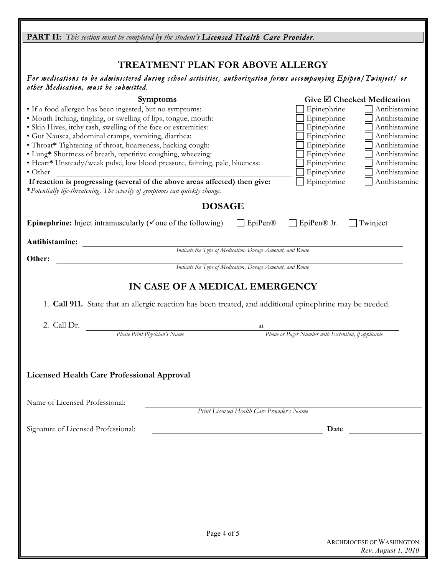| <b>PART II:</b> This section must be completed by the student's Licensed Health Care Provider.                                             |                                                           |                                                              |
|--------------------------------------------------------------------------------------------------------------------------------------------|-----------------------------------------------------------|--------------------------------------------------------------|
|                                                                                                                                            |                                                           |                                                              |
| <b>TREATMENT PLAN FOR ABOVE ALLERGY</b>                                                                                                    |                                                           |                                                              |
| For medications to be administered during school activities, authorization forms accompanying Epipen/Twinject/ or                          |                                                           |                                                              |
| other Medication, must be submitted.                                                                                                       |                                                           |                                                              |
| <b>Symptoms</b>                                                                                                                            |                                                           | Give $\boxtimes$ Checked Medication                          |
| • If a food allergen has been ingested, but no symptoms:<br>· Mouth Itching, tingling, or swelling of lips, tongue, mouth:                 |                                                           | Antihistamine<br>Epinephrine<br>Epinephrine<br>Antihistamine |
| · Skin Hives, itchy rash, swelling of the face or extremities:                                                                             |                                                           | Antihistamine<br>Epinephrine                                 |
| · Gut Nausea, abdominal cramps, vomiting, diarrhea:                                                                                        |                                                           | Epinephrine<br>Antihistamine                                 |
| • Throat* Tightening of throat, hoarseness, hacking cough:                                                                                 |                                                           | Antihistamine<br>Epinephrine                                 |
| • Lung* Shortness of breath, repetitive coughing, wheezing:<br>• Heart* Unsteady/weak pulse, low blood pressure, fainting, pale, blueness: |                                                           | Antihistamine<br>Epinephrine<br>Epinephrine<br>Antihistamine |
| $\bullet$ Other                                                                                                                            |                                                           | Epinephrine<br>Antihistamine                                 |
| If reaction is progressing (several of the above areas affected) then give:                                                                |                                                           | Epinephrine<br>Antihistamine                                 |
| *Potentially life-threatening. The severity of symptoms can quickly change.                                                                |                                                           |                                                              |
| <b>DOSAGE</b>                                                                                                                              |                                                           |                                                              |
| <b>Epinephrine:</b> Inject intramuscularly ( $\checkmark$ one of the following)                                                            | EpiPen®                                                   | ∐ EpiPen® Jr.<br>Twinject                                    |
|                                                                                                                                            |                                                           |                                                              |
| Antihistamine:                                                                                                                             | Indicate the Type of Medication, Dosage Amount, and Route |                                                              |
| Other:                                                                                                                                     |                                                           |                                                              |
|                                                                                                                                            | Indicate the Type of Medication, Dosage Amount, and Route |                                                              |
| IN CASE OF A MEDICAL EMERGENCY                                                                                                             |                                                           |                                                              |
|                                                                                                                                            |                                                           |                                                              |
| 1. Call 911. State that an allergic reaction has been treated, and additional epinephrine may be needed.                                   |                                                           |                                                              |
| 2. Call Dr.                                                                                                                                | at                                                        |                                                              |
| Please Print Physician's Name                                                                                                              |                                                           | Phone or Pager Number with Extension, if applicable          |
|                                                                                                                                            |                                                           |                                                              |
|                                                                                                                                            |                                                           |                                                              |
| <b>Licensed Health Care Professional Approval</b>                                                                                          |                                                           |                                                              |
|                                                                                                                                            |                                                           |                                                              |
|                                                                                                                                            |                                                           |                                                              |
| Name of Licensed Professional:                                                                                                             | Print Licensed Health Care Provider's Name                |                                                              |
|                                                                                                                                            |                                                           |                                                              |
| Signature of Licensed Professional:                                                                                                        |                                                           | Date                                                         |
|                                                                                                                                            |                                                           |                                                              |
|                                                                                                                                            |                                                           |                                                              |
|                                                                                                                                            |                                                           |                                                              |
|                                                                                                                                            |                                                           |                                                              |
|                                                                                                                                            |                                                           |                                                              |
|                                                                                                                                            |                                                           |                                                              |
|                                                                                                                                            |                                                           |                                                              |
|                                                                                                                                            |                                                           |                                                              |
| Page 4 of 5                                                                                                                                |                                                           |                                                              |